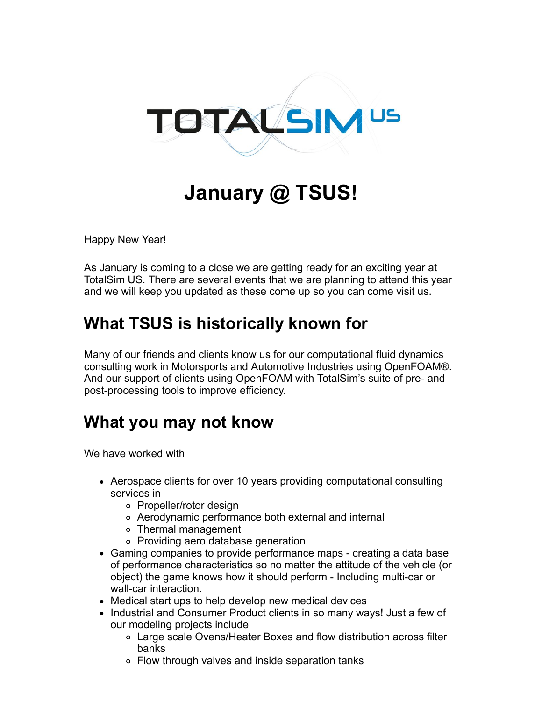

## **January @ TSUS!**

Happy New Year!

As January is coming to a close we are getting ready for an exciting year at TotalSim US. There are several events that we are planning to attend this year and we will keep you updated as these come up so you can come visit us.

## **What TSUS is historically known for**

Many of our friends and clients know us for our computational fluid dynamics consulting work in Motorsports and Automotive Industries using OpenFOAM®. And our support of clients using OpenFOAM with TotalSim's suite of pre- and post-processing tools to improve efficiency.

## **What you may not know**

We have worked with

- Aerospace clients for over 10 years providing computational consulting services in
	- Propeller/rotor design
	- Aerodynamic performance both external and internal
	- Thermal management
	- Providing aero database generation
- Gaming companies to provide performance maps creating a data base of performance characteristics so no matter the attitude of the vehicle (or object) the game knows how it should perform - Including multi-car or wall-car interaction.
- Medical start ups to help develop new medical devices
- Industrial and Consumer Product clients in so many ways! Just a few of our modeling projects include
	- Large scale Ovens/Heater Boxes and flow distribution across filter banks
	- Flow through valves and inside separation tanks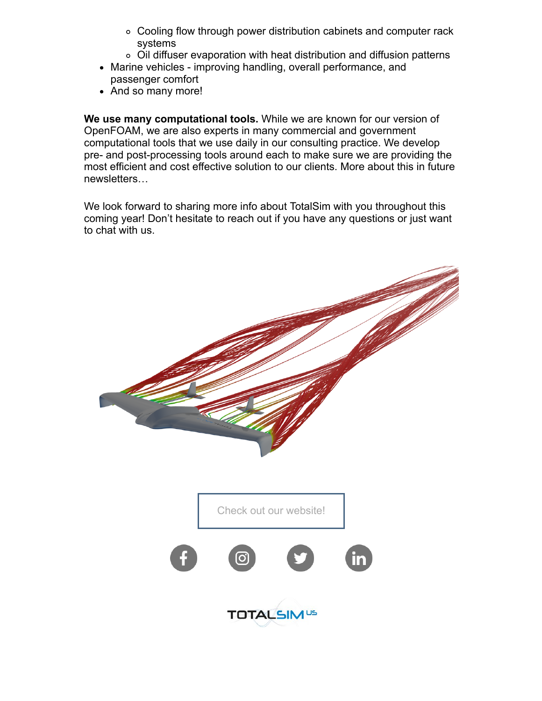- Cooling flow through power distribution cabinets and computer rack systems
- Oil diffuser evaporation with heat distribution and diffusion patterns
- Marine vehicles improving handling, overall performance, and passenger comfort
- And so many more!

**We use many computational tools.** While we are known for our version of OpenFOAM, we are also experts in many commercial and government computational tools that we use daily in our consulting practice. We develop pre- and post-processing tools around each to make sure we are providing the most efficient and cost effective solution to our clients. More about this in future newsletters…

We look forward to sharing more info about TotalSim with you throughout this coming year! Don't hesitate to reach out if you have any questions or just want to chat with us.